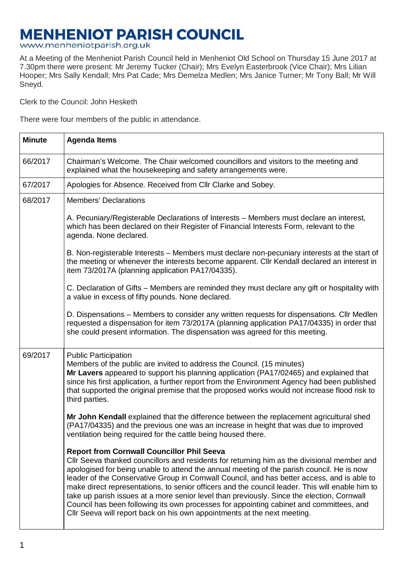## **MENHENIOT PARISH COUNCIL**

## www.menheniotparish.org.uk

At a Meeting of the Menheniot Parish Council held in Menheniot Old School on Thursday 15 June 2017 at 7.30pm there were present: Mr Jeremy Tucker (Chair); Mrs Evelyn Easterbrook (Vice Chair); Mrs Lilian Hooper; Mrs Sally Kendall; Mrs Pat Cade; Mrs Demelza Medlen; Mrs Janice Turner; Mr Tony Ball; Mr Will Sneyd.

Clerk to the Council: John Hesketh

There were four members of the public in attendance.

| <b>Minute</b> | <b>Agenda Items</b>                                                                                                                                                                                                                                                                                                                                                                                                                                                                                                                                                                                                                                                                                                  |  |  |  |  |
|---------------|----------------------------------------------------------------------------------------------------------------------------------------------------------------------------------------------------------------------------------------------------------------------------------------------------------------------------------------------------------------------------------------------------------------------------------------------------------------------------------------------------------------------------------------------------------------------------------------------------------------------------------------------------------------------------------------------------------------------|--|--|--|--|
| 66/2017       | Chairman's Welcome. The Chair welcomed councillors and visitors to the meeting and<br>explained what the housekeeping and safety arrangements were.                                                                                                                                                                                                                                                                                                                                                                                                                                                                                                                                                                  |  |  |  |  |
| 67/2017       | Apologies for Absence. Received from Cllr Clarke and Sobey.                                                                                                                                                                                                                                                                                                                                                                                                                                                                                                                                                                                                                                                          |  |  |  |  |
| 68/2017       | <b>Members' Declarations</b>                                                                                                                                                                                                                                                                                                                                                                                                                                                                                                                                                                                                                                                                                         |  |  |  |  |
|               | A. Pecuniary/Registerable Declarations of Interests – Members must declare an interest,<br>which has been declared on their Register of Financial Interests Form, relevant to the<br>agenda. None declared.                                                                                                                                                                                                                                                                                                                                                                                                                                                                                                          |  |  |  |  |
|               | B. Non-registerable Interests – Members must declare non-pecuniary interests at the start of<br>the meeting or whenever the interests become apparent. Cllr Kendall declared an interest in<br>item 73/2017A (planning application PA17/04335).                                                                                                                                                                                                                                                                                                                                                                                                                                                                      |  |  |  |  |
|               | C. Declaration of Gifts – Members are reminded they must declare any gift or hospitality with<br>a value in excess of fifty pounds. None declared.                                                                                                                                                                                                                                                                                                                                                                                                                                                                                                                                                                   |  |  |  |  |
|               | D. Dispensations - Members to consider any written requests for dispensations. Cllr Medlen<br>requested a dispensation for item 73/2017A (planning application PA17/04335) in order that<br>she could present information. The dispensation was agreed for this meeting.                                                                                                                                                                                                                                                                                                                                                                                                                                             |  |  |  |  |
| 69/2017       | <b>Public Participation</b><br>Members of the public are invited to address the Council. (15 minutes)<br>Mr Lavers appeared to support his planning application (PA17/02465) and explained that<br>since his first application, a further report from the Environment Agency had been published<br>that supported the original premise that the proposed works would not increase flood risk to<br>third parties.                                                                                                                                                                                                                                                                                                    |  |  |  |  |
|               | Mr John Kendall explained that the difference between the replacement agricultural shed<br>(PA17/04335) and the previous one was an increase in height that was due to improved<br>ventilation being required for the cattle being housed there.                                                                                                                                                                                                                                                                                                                                                                                                                                                                     |  |  |  |  |
|               | <b>Report from Cornwall Councillor Phil Seeva</b><br>CIIr Seeva thanked councillors and residents for returning him as the divisional member and<br>apologised for being unable to attend the annual meeting of the parish council. He is now<br>leader of the Conservative Group in Cornwall Council, and has better access, and is able to<br>make direct representations, to senior officers and the council leader. This will enable him to<br>take up parish issues at a more senior level than previously. Since the election, Cornwall<br>Council has been following its own processes for appointing cabinet and committees, and<br>Cllr Seeva will report back on his own appointments at the next meeting. |  |  |  |  |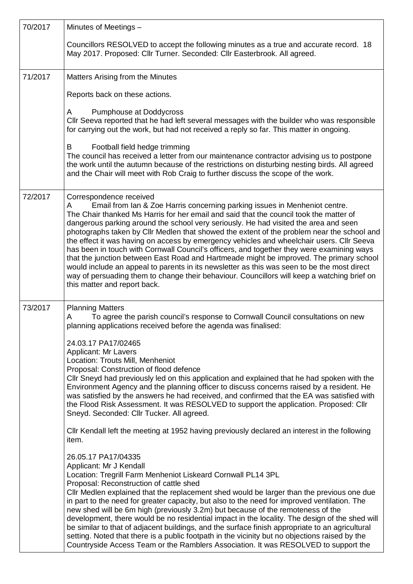| 70/2017 | Minutes of Meetings -                                                                                                                                                                                                                                                                                                                                                                                                                                                                                                                                                                                                                                                                                                                                                                                                                                                                                         |  |  |  |  |  |
|---------|---------------------------------------------------------------------------------------------------------------------------------------------------------------------------------------------------------------------------------------------------------------------------------------------------------------------------------------------------------------------------------------------------------------------------------------------------------------------------------------------------------------------------------------------------------------------------------------------------------------------------------------------------------------------------------------------------------------------------------------------------------------------------------------------------------------------------------------------------------------------------------------------------------------|--|--|--|--|--|
|         | Councillors RESOLVED to accept the following minutes as a true and accurate record. 18<br>May 2017. Proposed: Cllr Turner. Seconded: Cllr Easterbrook. All agreed.                                                                                                                                                                                                                                                                                                                                                                                                                                                                                                                                                                                                                                                                                                                                            |  |  |  |  |  |
| 71/2017 | Matters Arising from the Minutes                                                                                                                                                                                                                                                                                                                                                                                                                                                                                                                                                                                                                                                                                                                                                                                                                                                                              |  |  |  |  |  |
|         | Reports back on these actions.                                                                                                                                                                                                                                                                                                                                                                                                                                                                                                                                                                                                                                                                                                                                                                                                                                                                                |  |  |  |  |  |
|         | Pumphouse at Doddycross<br>A<br>Cllr Seeva reported that he had left several messages with the builder who was responsible<br>for carrying out the work, but had not received a reply so far. This matter in ongoing.                                                                                                                                                                                                                                                                                                                                                                                                                                                                                                                                                                                                                                                                                         |  |  |  |  |  |
|         | B<br>Football field hedge trimming<br>The council has received a letter from our maintenance contractor advising us to postpone<br>the work until the autumn because of the restrictions on disturbing nesting birds. All agreed<br>and the Chair will meet with Rob Craig to further discuss the scope of the work.                                                                                                                                                                                                                                                                                                                                                                                                                                                                                                                                                                                          |  |  |  |  |  |
| 72/2017 | Correspondence received<br>Email from Ian & Zoe Harris concerning parking issues in Menheniot centre.<br>A<br>The Chair thanked Ms Harris for her email and said that the council took the matter of<br>dangerous parking around the school very seriously. He had visited the area and seen<br>photographs taken by Cllr Medlen that showed the extent of the problem near the school and<br>the effect it was having on access by emergency vehicles and wheelchair users. Cllr Seeva<br>has been in touch with Cornwall Council's officers, and together they were examining ways<br>that the junction between East Road and Hartmeade might be improved. The primary school<br>would include an appeal to parents in its newsletter as this was seen to be the most direct<br>way of persuading them to change their behaviour. Councillors will keep a watching brief on<br>this matter and report back. |  |  |  |  |  |
| 73/2017 | <b>Planning Matters</b><br>To agree the parish council's response to Cornwall Council consultations on new<br>A<br>planning applications received before the agenda was finalised:                                                                                                                                                                                                                                                                                                                                                                                                                                                                                                                                                                                                                                                                                                                            |  |  |  |  |  |
|         | 24.03.17 PA17/02465<br><b>Applicant: Mr Lavers</b><br>Location: Trouts Mill, Menheniot<br>Proposal: Construction of flood defence<br>Cllr Sneyd had previously led on this application and explained that he had spoken with the<br>Environment Agency and the planning officer to discuss concerns raised by a resident. He<br>was satisfied by the answers he had received, and confirmed that the EA was satisfied with<br>the Flood Risk Assessment. It was RESOLVED to support the application. Proposed: Cllr<br>Sneyd. Seconded: Cllr Tucker. All agreed.                                                                                                                                                                                                                                                                                                                                              |  |  |  |  |  |
|         | CIIr Kendall left the meeting at 1952 having previously declared an interest in the following<br>item.                                                                                                                                                                                                                                                                                                                                                                                                                                                                                                                                                                                                                                                                                                                                                                                                        |  |  |  |  |  |
|         | 26.05.17 PA17/04335<br>Applicant: Mr J Kendall<br>Location: Tregrill Farm Menheniot Liskeard Cornwall PL14 3PL<br>Proposal: Reconstruction of cattle shed<br>CIIr Medlen explained that the replacement shed would be larger than the previous one due<br>in part to the need for greater capacity, but also to the need for improved ventilation. The<br>new shed will be 6m high (previously 3.2m) but because of the remoteness of the<br>development, there would be no residential impact in the locality. The design of the shed will<br>be similar to that of adjacent buildings, and the surface finish appropriate to an agricultural<br>setting. Noted that there is a public footpath in the vicinity but no objections raised by the<br>Countryside Access Team or the Ramblers Association. It was RESOLVED to support the                                                                       |  |  |  |  |  |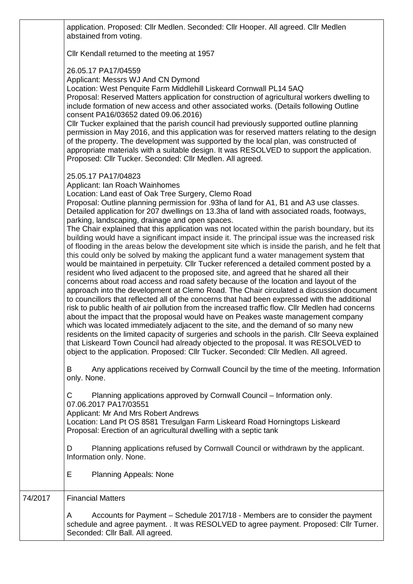application. Proposed: Cllr Medlen. Seconded: Cllr Hooper. All agreed. Cllr Medlen abstained from voting.

Cllr Kendall returned to the meeting at 1957

26.05.17 PA17/04559

Applicant: Messrs WJ And CN Dymond

Location: West Penquite Farm Middlehill Liskeard Cornwall PL14 5AQ

Proposal: Reserved Matters application for construction of agricultural workers dwelling to include formation of new access and other associated works. (Details following Outline consent PA16/03652 dated 09.06.2016)

Cllr Tucker explained that the parish council had previously supported outline planning permission in May 2016, and this application was for reserved matters relating to the design of the property. The development was supported by the local plan, was constructed of appropriate materials with a suitable design. It was RESOLVED to support the application. Proposed: Cllr Tucker. Seconded: Cllr Medlen. All agreed.

25.05.17 PA17/04823

Applicant: Ian Roach Wainhomes

Location: Land east of Oak Tree Surgery, Clemo Road

Proposal: Outline planning permission for .93ha of land for A1, B1 and A3 use classes. Detailed application for 207 dwellings on 13.3ha of land with associated roads, footways, parking, landscaping, drainage and open spaces.

The Chair explained that this application was not located within the parish boundary, but its building would have a significant impact inside it. The principal issue was the increased risk of flooding in the areas below the development site which is inside the parish, and he felt that this could only be solved by making the applicant fund a water management system that would be maintained in perpetuity. Cllr Tucker referenced a detailed comment posted by a resident who lived adjacent to the proposed site, and agreed that he shared all their concerns about road access and road safety because of the location and layout of the approach into the development at Clemo Road. The Chair circulated a discussion document to councillors that reflected all of the concerns that had been expressed with the additional risk to public health of air pollution from the increased traffic flow. Cllr Medlen had concerns about the impact that the proposal would have on Peakes waste management company which was located immediately adjacent to the site, and the demand of so many new residents on the limited capacity of surgeries and schools in the parish. Cllr Seeva explained that Liskeard Town Council had already objected to the proposal. It was RESOLVED to object to the application. Proposed: Cllr Tucker. Seconded: Cllr Medlen. All agreed.

B Any applications received by Cornwall Council by the time of the meeting. Information only. None.

C Planning applications approved by Cornwall Council – Information only. 07.06.2017 PA17/03551

Applicant: Mr And Mrs Robert Andrews

Location: Land Pt OS 8581 Tresulgan Farm Liskeard Road Horningtops Liskeard Proposal: Erection of an agricultural dwelling with a septic tank

D Planning applications refused by Cornwall Council or withdrawn by the applicant. Information only. None.

E Planning Appeals: None

74/2017 Financial Matters

A Accounts for Payment – Schedule 2017/18 - Members are to consider the payment schedule and agree payment. . It was RESOLVED to agree payment. Proposed: Cllr Turner. Seconded: Cllr Ball. All agreed.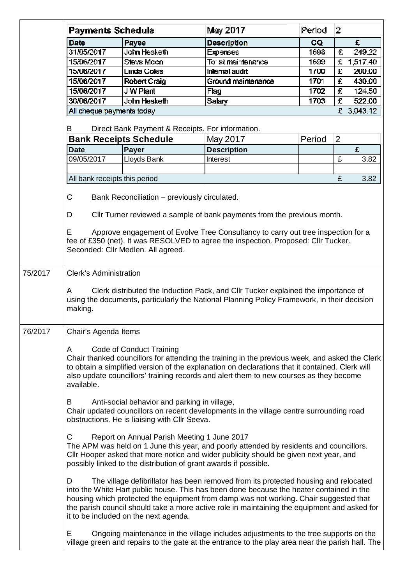|         | <b>Payments Schedule</b>                                                                                                                                                                                                                                                                                                                                                                                               |                                              | May 2017                                                                                                                                                                                | Period    | $\overline{2}$ |  |  |
|---------|------------------------------------------------------------------------------------------------------------------------------------------------------------------------------------------------------------------------------------------------------------------------------------------------------------------------------------------------------------------------------------------------------------------------|----------------------------------------------|-----------------------------------------------------------------------------------------------------------------------------------------------------------------------------------------|-----------|----------------|--|--|
|         | <b>Date</b>                                                                                                                                                                                                                                                                                                                                                                                                            | Payee                                        | <b>Description</b>                                                                                                                                                                      | <b>CQ</b> | £              |  |  |
|         | 31/05/2017                                                                                                                                                                                                                                                                                                                                                                                                             | John Hesketh                                 | <b>Expenses</b>                                                                                                                                                                         | 1698      | 249.22<br>£    |  |  |
|         | 15/06/2017                                                                                                                                                                                                                                                                                                                                                                                                             | Steve Mccn                                   | To let maintenance                                                                                                                                                                      | 1699      | £<br>1,517.40  |  |  |
|         | 15/06/2017                                                                                                                                                                                                                                                                                                                                                                                                             | <b>Linda Coles</b>                           | <b>Internal audit</b>                                                                                                                                                                   | 1700      | £<br>200.00    |  |  |
|         | 15/06/2017                                                                                                                                                                                                                                                                                                                                                                                                             | Robert Craig                                 | Ground maintenance                                                                                                                                                                      | 1701      | £.<br>430.00   |  |  |
|         | 15/06/2017                                                                                                                                                                                                                                                                                                                                                                                                             | J W Plant                                    | Flag                                                                                                                                                                                    | 1702      | £<br>124.50    |  |  |
|         | 30/06/2017                                                                                                                                                                                                                                                                                                                                                                                                             | John Hesketh                                 | Salary                                                                                                                                                                                  | 1703      | £<br>522.00    |  |  |
|         | All cheque payments today                                                                                                                                                                                                                                                                                                                                                                                              |                                              |                                                                                                                                                                                         |           | £ 3,043.12     |  |  |
|         |                                                                                                                                                                                                                                                                                                                                                                                                                        |                                              |                                                                                                                                                                                         |           |                |  |  |
|         | B                                                                                                                                                                                                                                                                                                                                                                                                                      | <b>Bank Receipts Schedule</b>                | Direct Bank Payment & Receipts. For information.<br>May 2017                                                                                                                            | Period    | $\overline{2}$ |  |  |
|         | <b>Date</b>                                                                                                                                                                                                                                                                                                                                                                                                            | <b>Payer</b>                                 | <b>Description</b>                                                                                                                                                                      |           | £              |  |  |
|         | 09/05/2017                                                                                                                                                                                                                                                                                                                                                                                                             | Lloyds Bank                                  | <b>Interest</b>                                                                                                                                                                         |           | £<br>3.82      |  |  |
|         |                                                                                                                                                                                                                                                                                                                                                                                                                        |                                              |                                                                                                                                                                                         |           |                |  |  |
|         | All bank receipts this period                                                                                                                                                                                                                                                                                                                                                                                          |                                              |                                                                                                                                                                                         |           | £<br>3.82      |  |  |
|         |                                                                                                                                                                                                                                                                                                                                                                                                                        |                                              |                                                                                                                                                                                         |           |                |  |  |
|         | C                                                                                                                                                                                                                                                                                                                                                                                                                      | Bank Reconciliation - previously circulated. |                                                                                                                                                                                         |           |                |  |  |
|         | D                                                                                                                                                                                                                                                                                                                                                                                                                      |                                              | CIIr Turner reviewed a sample of bank payments from the previous month.                                                                                                                 |           |                |  |  |
|         | Е                                                                                                                                                                                                                                                                                                                                                                                                                      | Seconded: Cllr Medlen. All agreed.           | Approve engagement of Evolve Tree Consultancy to carry out tree inspection for a<br>fee of £350 (net). It was RESOLVED to agree the inspection. Proposed: Cllr Tucker.                  |           |                |  |  |
| 75/2017 | <b>Clerk's Administration</b><br>Clerk distributed the Induction Pack, and Cllr Tucker explained the importance of<br>A<br>using the documents, particularly the National Planning Policy Framework, in their decision<br>making.                                                                                                                                                                                      |                                              |                                                                                                                                                                                         |           |                |  |  |
| 76/2017 | Chair's Agenda Items                                                                                                                                                                                                                                                                                                                                                                                                   |                                              |                                                                                                                                                                                         |           |                |  |  |
|         | Code of Conduct Training<br>A<br>Chair thanked councillors for attending the training in the previous week, and asked the Clerk<br>to obtain a simplified version of the explanation on declarations that it contained. Clerk will<br>also update councillors' training records and alert them to new courses as they become<br>available.                                                                             |                                              |                                                                                                                                                                                         |           |                |  |  |
|         | Anti-social behavior and parking in village,<br>B<br>Chair updated councillors on recent developments in the village centre surrounding road<br>obstructions. He is liaising with Cllr Seeva.                                                                                                                                                                                                                          |                                              |                                                                                                                                                                                         |           |                |  |  |
|         | Report on Annual Parish Meeting 1 June 2017<br>C.<br>The APM was held on 1 June this year, and poorly attended by residents and councillors.<br>Cllr Hooper asked that more notice and wider publicity should be given next year, and<br>possibly linked to the distribution of grant awards if possible.                                                                                                              |                                              |                                                                                                                                                                                         |           |                |  |  |
|         | The village defibrillator has been removed from its protected housing and relocated<br>D<br>into the White Hart public house. This has been done because the heater contained in the<br>housing which protected the equipment from damp was not working. Chair suggested that<br>the parish council should take a more active role in maintaining the equipment and asked for<br>it to be included on the next agenda. |                                              |                                                                                                                                                                                         |           |                |  |  |
|         | Е                                                                                                                                                                                                                                                                                                                                                                                                                      |                                              | Ongoing maintenance in the village includes adjustments to the tree supports on the<br>village green and repairs to the gate at the entrance to the play area near the parish hall. The |           |                |  |  |